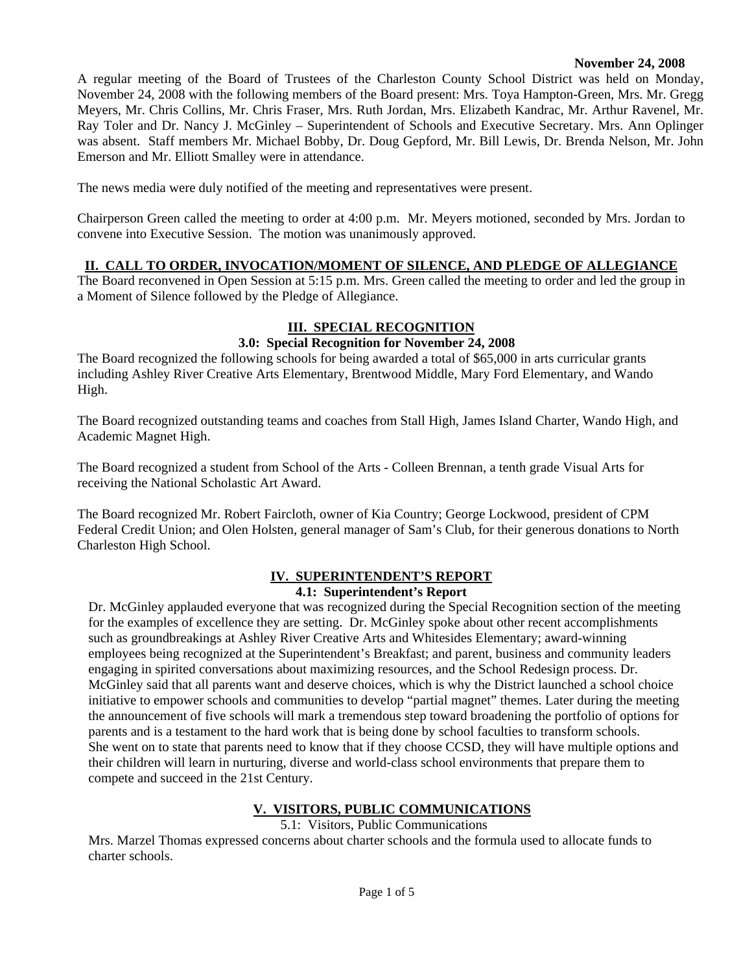### **November 24, 2008**

A regular meeting of the Board of Trustees of the Charleston County School District was held on Monday, November 24, 2008 with the following members of the Board present: Mrs. Toya Hampton-Green, Mrs. Mr. Gregg Meyers, Mr. Chris Collins, Mr. Chris Fraser, Mrs. Ruth Jordan, Mrs. Elizabeth Kandrac, Mr. Arthur Ravenel, Mr. Ray Toler and Dr. Nancy J. McGinley – Superintendent of Schools and Executive Secretary. Mrs. Ann Oplinger was absent. Staff members Mr. Michael Bobby, Dr. Doug Gepford, Mr. Bill Lewis, Dr. Brenda Nelson, Mr. John Emerson and Mr. Elliott Smalley were in attendance.

The news media were duly notified of the meeting and representatives were present.

Chairperson Green called the meeting to order at 4:00 p.m. Mr. Meyers motioned, seconded by Mrs. Jordan to convene into Executive Session. The motion was unanimously approved.

## **II. CALL TO ORDER, INVOCATION/MOMENT OF SILENCE, AND PLEDGE OF ALLEGIANCE**

The Board reconvened in Open Session at 5:15 p.m. Mrs. Green called the meeting to order and led the group in a Moment of Silence followed by the Pledge of Allegiance.

# **III. SPECIAL RECOGNITION**

### **3.0: Special Recognition for November 24, 2008**

The Board recognized the following schools for being awarded a total of \$65,000 in arts curricular grants including Ashley River Creative Arts Elementary, Brentwood Middle, Mary Ford Elementary, and Wando High.

The Board recognized outstanding teams and coaches from Stall High, James Island Charter, Wando High, and Academic Magnet High.

The Board recognized a student from School of the Arts - Colleen Brennan, a tenth grade Visual Arts for receiving the National Scholastic Art Award.

The Board recognized Mr. Robert Faircloth, owner of Kia Country; George Lockwood, president of CPM Federal Credit Union; and Olen Holsten, general manager of Sam's Club, for their generous donations to North Charleston High School.

#### **IV. SUPERINTENDENT'S REPORT 4.1: Superintendent's Report**

Dr. McGinley applauded everyone that was recognized during the Special Recognition section of the meeting for the examples of excellence they are setting. Dr. McGinley spoke about other recent accomplishments such as groundbreakings at Ashley River Creative Arts and Whitesides Elementary; award-winning employees being recognized at the Superintendent's Breakfast; and parent, business and community leaders engaging in spirited conversations about maximizing resources, and the School Redesign process. Dr. McGinley said that all parents want and deserve choices, which is why the District launched a school choice initiative to empower schools and communities to develop "partial magnet" themes. Later during the meeting the announcement of five schools will mark a tremendous step toward broadening the portfolio of options for parents and is a testament to the hard work that is being done by school faculties to transform schools. She went on to state that parents need to know that if they choose CCSD, they will have multiple options and their children will learn in nurturing, diverse and world-class school environments that prepare them to compete and succeed in the 21st Century.

## **V. VISITORS, PUBLIC COMMUNICATIONS**

5.1: Visitors, Public Communications

Mrs. Marzel Thomas expressed concerns about charter schools and the formula used to allocate funds to charter schools.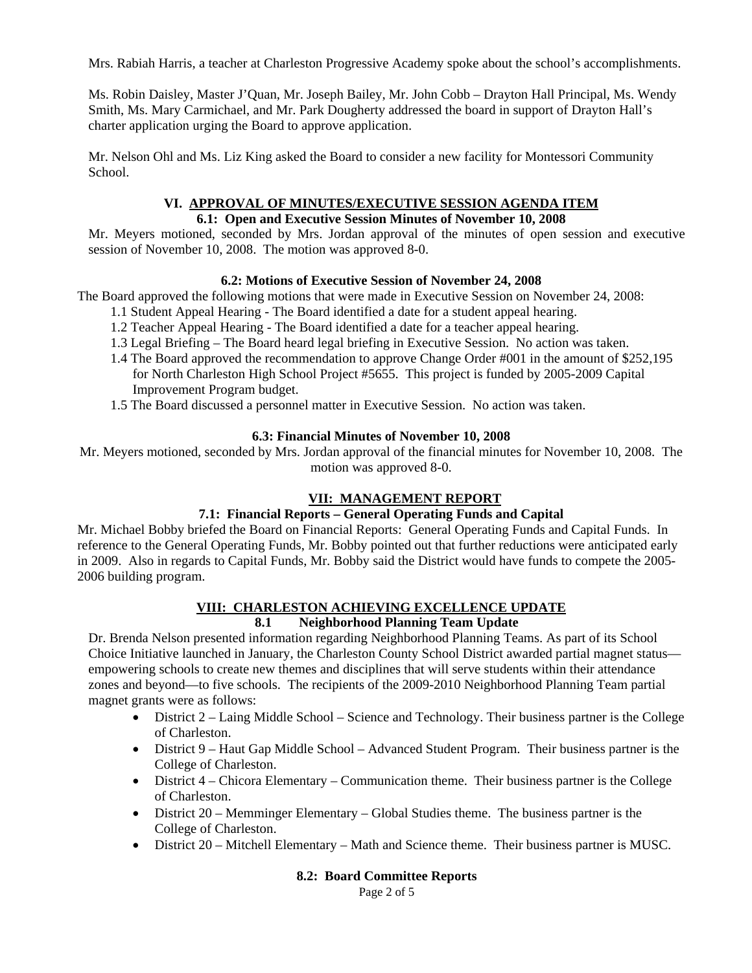Mrs. Rabiah Harris, a teacher at Charleston Progressive Academy spoke about the school's accomplishments.

Ms. Robin Daisley, Master J'Quan, Mr. Joseph Bailey, Mr. John Cobb – Drayton Hall Principal, Ms. Wendy Smith, Ms. Mary Carmichael, and Mr. Park Dougherty addressed the board in support of Drayton Hall's charter application urging the Board to approve application.

Mr. Nelson Ohl and Ms. Liz King asked the Board to consider a new facility for Montessori Community School.

## **VI. APPROVAL OF MINUTES/EXECUTIVE SESSION AGENDA ITEM**

#### **6.1: Open and Executive Session Minutes of November 10, 2008**

Mr. Meyers motioned, seconded by Mrs. Jordan approval of the minutes of open session and executive session of November 10, 2008. The motion was approved 8-0.

## **6.2: Motions of Executive Session of November 24, 2008**

The Board approved the following motions that were made in Executive Session on November 24, 2008:

- 1.1 Student Appeal Hearing The Board identified a date for a student appeal hearing.
- 1.2 Teacher Appeal Hearing The Board identified a date for a teacher appeal hearing.
- 1.3 Legal Briefing The Board heard legal briefing in Executive Session. No action was taken.
- 1.4 The Board approved the recommendation to approve Change Order #001 in the amount of \$252,195 for North Charleston High School Project #5655. This project is funded by 2005-2009 Capital Improvement Program budget.
- 1.5 The Board discussed a personnel matter in Executive Session. No action was taken.

### **6.3: Financial Minutes of November 10, 2008**

Mr. Meyers motioned, seconded by Mrs. Jordan approval of the financial minutes for November 10, 2008. The motion was approved 8-0.

## **VII: MANAGEMENT REPORT**

## **7.1: Financial Reports – General Operating Funds and Capital**

Mr. Michael Bobby briefed the Board on Financial Reports: General Operating Funds and Capital Funds. In reference to the General Operating Funds, Mr. Bobby pointed out that further reductions were anticipated early in 2009. Also in regards to Capital Funds, Mr. Bobby said the District would have funds to compete the 2005- 2006 building program.

## **VIII: CHARLESTON ACHIEVING EXCELLENCE UPDATE**

# **8.1 Neighborhood Planning Team Update**

Dr. Brenda Nelson presented information regarding Neighborhood Planning Teams. As part of its School Choice Initiative launched in January, the Charleston County School District awarded partial magnet status empowering schools to create new themes and disciplines that will serve students within their attendance zones and beyond—to five schools. The recipients of the 2009-2010 Neighborhood Planning Team partial magnet grants were as follows:

- District 2 Laing Middle School Science and Technology. Their business partner is the College of Charleston.
- District 9 Haut Gap Middle School Advanced Student Program. Their business partner is the College of Charleston.
- District 4 Chicora Elementary Communication theme. Their business partner is the College of Charleston.
- District 20 Memminger Elementary Global Studies theme. The business partner is the College of Charleston.
- District 20 Mitchell Elementary Math and Science theme. Their business partner is MUSC.

#### **8.2: Board Committee Reports**

Page 2 of 5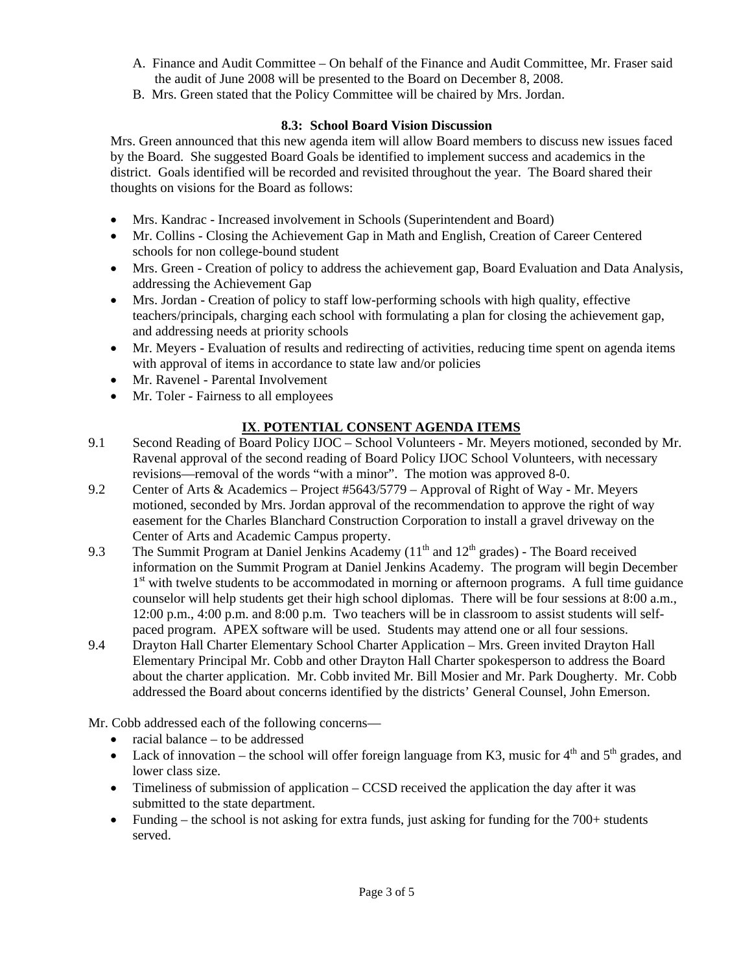- A. Finance and Audit Committee On behalf of the Finance and Audit Committee, Mr. Fraser said the audit of June 2008 will be presented to the Board on December 8, 2008.
- B. Mrs. Green stated that the Policy Committee will be chaired by Mrs. Jordan.

## **8.3: School Board Vision Discussion**

Mrs. Green announced that this new agenda item will allow Board members to discuss new issues faced by the Board. She suggested Board Goals be identified to implement success and academics in the district. Goals identified will be recorded and revisited throughout the year. The Board shared their thoughts on visions for the Board as follows:

- Mrs. Kandrac Increased involvement in Schools (Superintendent and Board)
- Mr. Collins Closing the Achievement Gap in Math and English, Creation of Career Centered schools for non college-bound student
- Mrs. Green Creation of policy to address the achievement gap, Board Evaluation and Data Analysis, addressing the Achievement Gap
- Mrs. Jordan Creation of policy to staff low-performing schools with high quality, effective teachers/principals, charging each school with formulating a plan for closing the achievement gap, and addressing needs at priority schools
- Mr. Meyers Evaluation of results and redirecting of activities, reducing time spent on agenda items with approval of items in accordance to state law and/or policies
- Mr. Ravenel Parental Involvement
- Mr. Toler Fairness to all employees

# **IX**. **POTENTIAL CONSENT AGENDA ITEMS**

- 9.1 Second Reading of Board Policy IJOC School Volunteers Mr. Meyers motioned, seconded by Mr. Ravenal approval of the second reading of Board Policy IJOC School Volunteers, with necessary revisions—removal of the words "with a minor". The motion was approved 8-0.
- 9.2 Center of Arts & Academics Project #5643/5779 Approval of Right of Way Mr. Meyers motioned, seconded by Mrs. Jordan approval of the recommendation to approve the right of way easement for the Charles Blanchard Construction Corporation to install a gravel driveway on the Center of Arts and Academic Campus property.
- 9.3 The Summit Program at Daniel Jenkins Academy  $(11<sup>th</sup>$  and  $12<sup>th</sup>$  grades) The Board received information on the Summit Program at Daniel Jenkins Academy. The program will begin December  $1<sup>st</sup>$  with twelve students to be accommodated in morning or afternoon programs. A full time guidance counselor will help students get their high school diplomas. There will be four sessions at 8:00 a.m., 12:00 p.m., 4:00 p.m. and 8:00 p.m. Two teachers will be in classroom to assist students will selfpaced program. APEX software will be used. Students may attend one or all four sessions.
- 9.4 Drayton Hall Charter Elementary School Charter Application Mrs. Green invited Drayton Hall Elementary Principal Mr. Cobb and other Drayton Hall Charter spokesperson to address the Board about the charter application. Mr. Cobb invited Mr. Bill Mosier and Mr. Park Dougherty. Mr. Cobb addressed the Board about concerns identified by the districts' General Counsel, John Emerson.

Mr. Cobb addressed each of the following concerns—

- racial balance to be addressed
- Lack of innovation the school will offer foreign language from K3, music for  $4<sup>th</sup>$  and  $5<sup>th</sup>$  grades, and lower class size.
- Timeliness of submission of application CCSD received the application the day after it was submitted to the state department.
- Funding the school is not asking for extra funds, just asking for funding for the 700+ students served.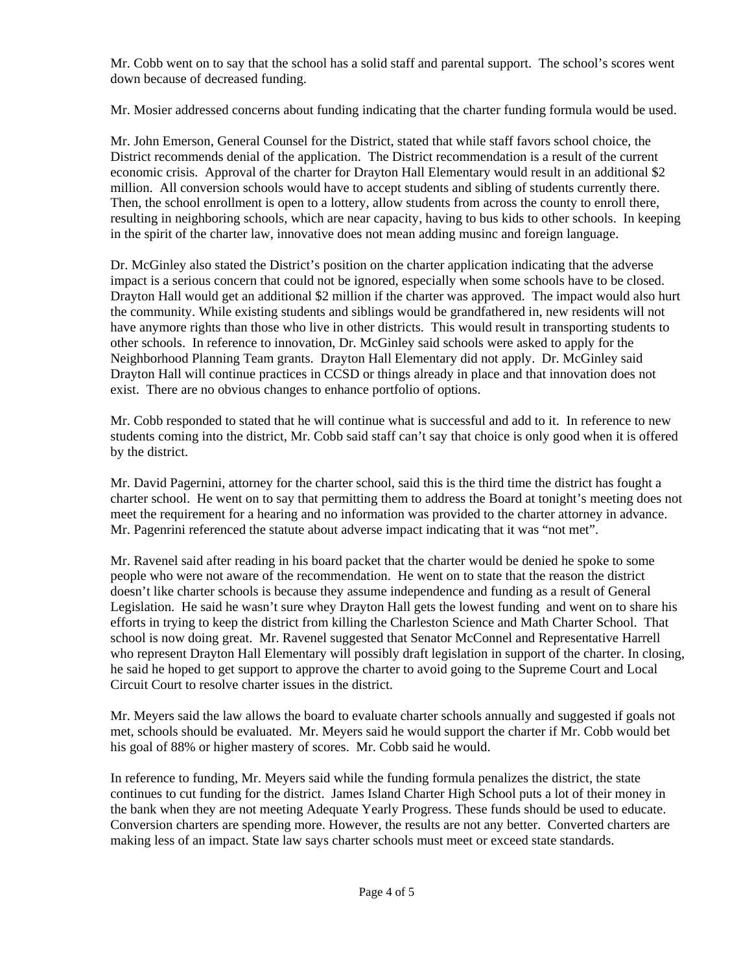Mr. Cobb went on to say that the school has a solid staff and parental support. The school's scores went down because of decreased funding.

Mr. Mosier addressed concerns about funding indicating that the charter funding formula would be used.

Mr. John Emerson, General Counsel for the District, stated that while staff favors school choice, the District recommends denial of the application. The District recommendation is a result of the current economic crisis. Approval of the charter for Drayton Hall Elementary would result in an additional \$2 million. All conversion schools would have to accept students and sibling of students currently there. Then, the school enrollment is open to a lottery, allow students from across the county to enroll there, resulting in neighboring schools, which are near capacity, having to bus kids to other schools. In keeping in the spirit of the charter law, innovative does not mean adding musinc and foreign language.

Dr. McGinley also stated the District's position on the charter application indicating that the adverse impact is a serious concern that could not be ignored, especially when some schools have to be closed. Drayton Hall would get an additional \$2 million if the charter was approved. The impact would also hurt the community. While existing students and siblings would be grandfathered in, new residents will not have anymore rights than those who live in other districts. This would result in transporting students to other schools. In reference to innovation, Dr. McGinley said schools were asked to apply for the Neighborhood Planning Team grants. Drayton Hall Elementary did not apply. Dr. McGinley said Drayton Hall will continue practices in CCSD or things already in place and that innovation does not exist. There are no obvious changes to enhance portfolio of options.

Mr. Cobb responded to stated that he will continue what is successful and add to it. In reference to new students coming into the district, Mr. Cobb said staff can't say that choice is only good when it is offered by the district.

Mr. David Pagernini, attorney for the charter school, said this is the third time the district has fought a charter school. He went on to say that permitting them to address the Board at tonight's meeting does not meet the requirement for a hearing and no information was provided to the charter attorney in advance. Mr. Pagenrini referenced the statute about adverse impact indicating that it was "not met".

Mr. Ravenel said after reading in his board packet that the charter would be denied he spoke to some people who were not aware of the recommendation. He went on to state that the reason the district doesn't like charter schools is because they assume independence and funding as a result of General Legislation. He said he wasn't sure whey Drayton Hall gets the lowest funding and went on to share his efforts in trying to keep the district from killing the Charleston Science and Math Charter School. That school is now doing great. Mr. Ravenel suggested that Senator McConnel and Representative Harrell who represent Drayton Hall Elementary will possibly draft legislation in support of the charter. In closing, he said he hoped to get support to approve the charter to avoid going to the Supreme Court and Local Circuit Court to resolve charter issues in the district.

Mr. Meyers said the law allows the board to evaluate charter schools annually and suggested if goals not met, schools should be evaluated. Mr. Meyers said he would support the charter if Mr. Cobb would bet his goal of 88% or higher mastery of scores. Mr. Cobb said he would.

In reference to funding, Mr. Meyers said while the funding formula penalizes the district, the state continues to cut funding for the district. James Island Charter High School puts a lot of their money in the bank when they are not meeting Adequate Yearly Progress. These funds should be used to educate. Conversion charters are spending more. However, the results are not any better. Converted charters are making less of an impact. State law says charter schools must meet or exceed state standards.